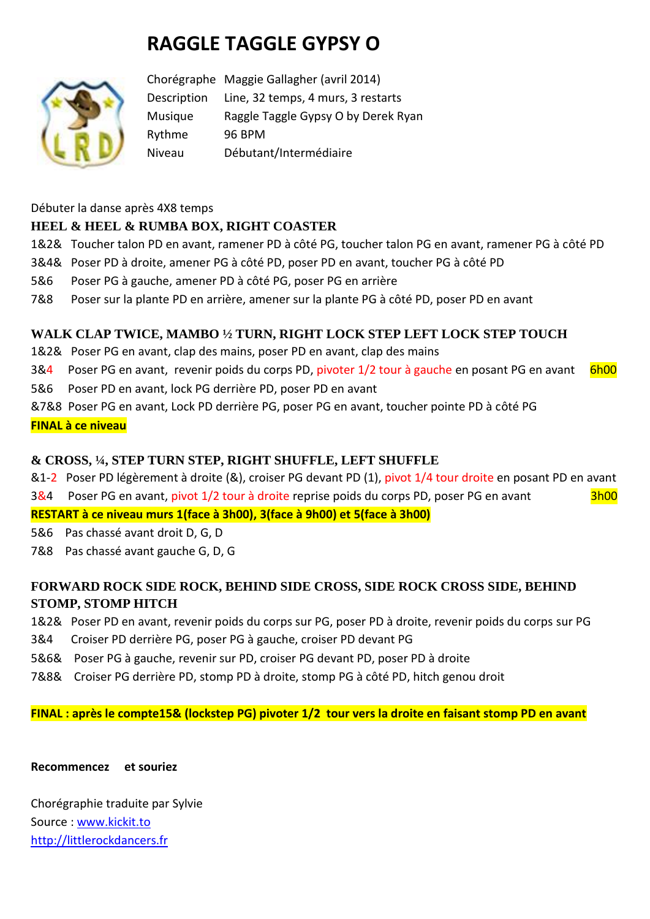# **RAGGLE TAGGLE GYPSY O**



Chorégraphe Maggie Gallagher (avril 2014) Description Line, 32 temps, 4 murs, 3 restarts Musique Raggle Taggle Gypsy O by Derek Ryan Rythme 96 BPM Niveau Débutant/Intermédiaire

Débuter la danse après 4X8 temps

# **HEEL & HEEL & RUMBA BOX, RIGHT COASTER**

- 1&2& Toucher talon PD en avant, ramener PD à côté PG, toucher talon PG en avant, ramener PG à côté PD
- 3&4& Poser PD à droite, amener PG à côté PD, poser PD en avant, toucher PG à côté PD
- 5&6 Poser PG à gauche, amener PD à côté PG, poser PG en arrière
- 7&8 Poser sur la plante PD en arrière, amener sur la plante PG à côté PD, poser PD en avant

## **WALK CLAP TWICE, MAMBO ½ TURN, RIGHT LOCK STEP LEFT LOCK STEP TOUCH**

- 1&2& Poser PG en avant, clap des mains, poser PD en avant, clap des mains
- 3&4 Poser PG en avant, revenir poids du corps PD, pivoter 1/2 tour à gauche en posant PG en avant 6h00
- 5&6 Poser PD en avant, lock PG derrière PD, poser PD en avant
- &7&8 Poser PG en avant, Lock PD derrière PG, poser PG en avant, toucher pointe PD à côté PG

#### **FINAL à ce niveau**

## **& CROSS, ¼, STEP TURN STEP, RIGHT SHUFFLE, LEFT SHUFFLE**

- &1-2 Poser PD légèrement à droite (&), croiser PG devant PD (1), pivot 1/4 tour droite en posant PD en avant
- 3&4 Poser PG en avant, pivot 1/2 tour à droite reprise poids du corps PD, poser PG en avant 3h00

**RESTART à ce niveau murs 1(face à 3h00), 3(face à 9h00) et 5(face à 3h00)** 

- 5&6 Pas chassé avant droit D, G, D
- 7&8 Pas chassé avant gauche G, D, G

# **FORWARD ROCK SIDE ROCK, BEHIND SIDE CROSS, SIDE ROCK CROSS SIDE, BEHIND STOMP, STOMP HITCH**

- 1&2& Poser PD en avant, revenir poids du corps sur PG, poser PD à droite, revenir poids du corps sur PG
- 3&4 Croiser PD derrière PG, poser PG à gauche, croiser PD devant PG
- 5&6& Poser PG à gauche, revenir sur PD, croiser PG devant PD, poser PD à droite
- 7&8& Croiser PG derrière PD, stomp PD à droite, stomp PG à côté PD, hitch genou droit

**FINAL : après le compte15& (lockstep PG) pivoter 1/2 tour vers la droite en faisant stomp PD en avant**

**Recommencez et souriez**

Chorégraphie traduite par Sylvie Source : [www.kickit.to](http://www.kickit.to/) [http://littlerockdancers.fr](http://littlerockdancers.fr/)